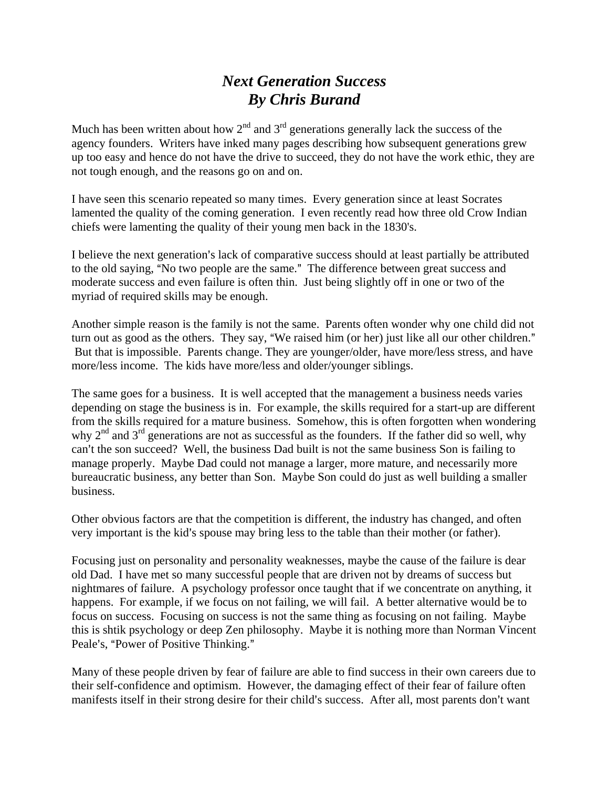## *Next Generation Success By Chris Burand*

Much has been written about how  $2<sup>nd</sup>$  and  $3<sup>rd</sup>$  generations generally lack the success of the agency founders. Writers have inked many pages describing how subsequent generations grew up too easy and hence do not have the drive to succeed, they do not have the work ethic, they are not tough enough, and the reasons go on and on.

I have seen this scenario repeated so many times. Every generation since at least Socrates lamented the quality of the coming generation. I even recently read how three old Crow Indian chiefs were lamenting the quality of their young men back in the 1830's.

I believe the next generation's lack of comparative success should at least partially be attributed to the old saying, "No two people are the same." The difference between great success and moderate success and even failure is often thin. Just being slightly off in one or two of the myriad of required skills may be enough.

Another simple reason is the family is not the same. Parents often wonder why one child did not turn out as good as the others. They say, "We raised him (or her) just like all our other children." But that is impossible. Parents change. They are younger/older, have more/less stress, and have more/less income. The kids have more/less and older/younger siblings.

The same goes for a business. It is well accepted that the management a business needs varies depending on stage the business is in. For example, the skills required for a start-up are different from the skills required for a mature business. Somehow, this is often forgotten when wondering why 2<sup>nd</sup> and 3<sup>rd</sup> generations are not as successful as the founders. If the father did so well, why can't the son succeed? Well, the business Dad built is not the same business Son is failing to manage properly. Maybe Dad could not manage a larger, more mature, and necessarily more bureaucratic business, any better than Son. Maybe Son could do just as well building a smaller business.

Other obvious factors are that the competition is different, the industry has changed, and often very important is the kid's spouse may bring less to the table than their mother (or father).

Focusing just on personality and personality weaknesses, maybe the cause of the failure is dear old Dad. I have met so many successful people that are driven not by dreams of success but nightmares of failure. A psychology professor once taught that if we concentrate on anything, it happens. For example, if we focus on not failing, we will fail. A better alternative would be to focus on success. Focusing on success is not the same thing as focusing on not failing. Maybe this is shtik psychology or deep Zen philosophy. Maybe it is nothing more than Norman Vincent Peale's, "Power of Positive Thinking."

Many of these people driven by fear of failure are able to find success in their own careers due to their self-confidence and optimism. However, the damaging effect of their fear of failure often manifests itself in their strong desire for their child's success. After all, most parents don't want